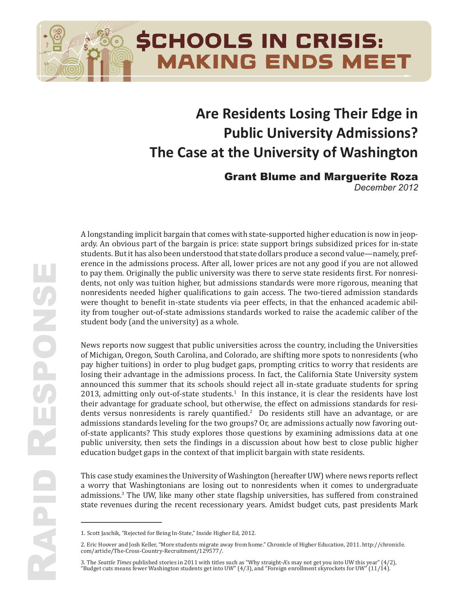# case at the University Of Washington **Are Residents Losing Their Edge in Public University Admissions? The Case at the University of Washington**

**MAKING ENDS MEET** 

**SCHOOLS IN CRISIS:** 

**Grant Blume and Marguerite Roza<br>December 2012** 

*December'2012*

A longstanding implicit bargain that comes with state-supported higher education is now in jeop-<br>ardy, An obvious nort of the hargain is nries; state support brings subsidined prises for in state aray. *An obvious part of the bargam is price*: *state support brings substanced prices for in state*<br>students. But it has also been understood that state dollars produce a second value—namely, prefwere thought to benefit in-state students via peer effects, in that the enhanced academic ability from tougher out-of-state admissions standards worked to raise the academic caliber of the student body (and the university) as a whole. ardy. An obvious part of the bargain is price: state support brings subsidized prices for in-state erence in the admissions process. After all, lower prices are not any good if you are not allowed to pay them. Originally the public university was there to serve state residents first. For nonresidents, not only was tuition higher, but admissions standards were more rigorous, meaning that nonresidents needed higher qualifications to gain access. The two-tiered admission standards

News reports now suggest that public universities across the country, including the Universities of Michigan, Oregon, South Carolina, and Colorado, are shifting more spots to nonresidents (who pay higher tuitions) in order to plug budget gaps, prompting critics to worry that residents are losing their advantage in the admissions process. In fact, the California State University system  $2013$ , admitting only out-of-state students.<sup>1</sup> In this instance, it is clear the residents have lost their advantage for graduate school, but otherwise, the effect on admissions standards for resi-<br>dents versus nonresidents is rarely quantified.<sup>2</sup> Do residents still have an advantage, or are dents versus nomesidents is rarely quantified. Bo residents sun have an advantage, or are admissions standards leveling for the two groups? Or, are admissions actually now favoring outdiamissions standards evenig for the two groups. Or, are admissions actually now favoring out<br>of-state applicants? This study explores those questions by examining admissions data at one public university, then sets the findings in a discussion about how best to close public higher education budget gaps in the context of that implicit bargain with state residents. announced this summer that its schools should reject all in-state graduate students for spring their advantage for graduate school, but otherwise, the effect on admissions standards for resi-

This case study examines the University of Washington (hereafter UW) where news reports reflect a worry that Washingtonians are losing out to nonresidents when it comes to undergraduate admissions.<sup>3</sup> The UW, like many other state flagship universities, has suffered from constrained state revenues during the recent recessionary years. Amidst budget cuts, past presidents Mark

formulas, but rather occur within districts as they deploy funds already collected.

<sup>1.</sup> Scott Jaschik, "Rejected for Being In-State," Inside Higher Ed, 2012.

<sup>2.</sup> Eric Hoover and Josh Keller, "More students migrate away from home." Chronicle of Higher Education, 2011. http://chronicle.  $dom/article/The-Cross-Courtry-Recruitment/129577/$ . 9. Eric Hoover and Josh Keller, "More students migrate away from home." Chronicle of Higher Education, 2011. http://chronicle.<br>
com/article/The-Cross-Country-Recruitment/129577/.<br>
3. The *Seattle Times* published stories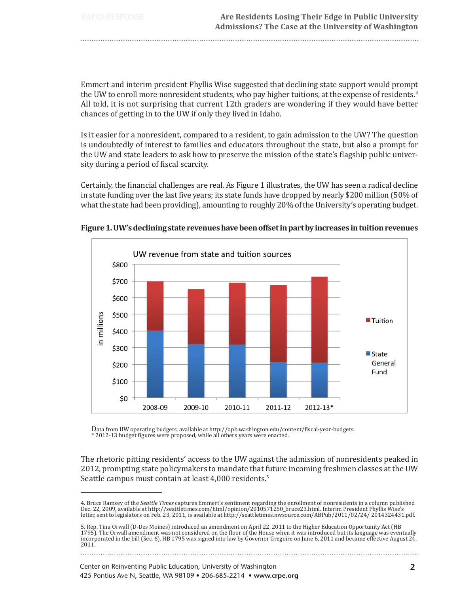Emmert and interim president Phyllis Wise suggested that declining state support would prompt the UW to enroll more nonresident students, who pay higher tuitions, at the expense of residents.<sup>4</sup> All told, it is not surprising that current 12th graders are wondering if they would have better chances of getting in to the UW if only they lived in Idaho.

Is it easier for a nonresident, compared to a resident, to gain admission to the UW? The question is undoubtedly of interest to families and educators throughout the state, but also a prompt for the UW and state leaders to ask how to preserve the mission of the state's flagship public university during a period of fiscal scarcity.

Certainly, the financial challenges are real. As Figure 1 illustrates, the UW has seen a radical decline in state funding over the last five years; its state funds have dropped by nearly \$200 million (50% of what the state had been providing), amounting to roughly 20% of the University's operating budget.



Figure 1. UW's declining state revenues have been offset in part by increases in tuition revenues

Data from UW operating budgets, available at http://opb.washington.edu/content/fiscal-year-budgets.<br>\* 2012-13 budget figures were proposed, while all others years were enacted.

The rhetoric pitting residents' access to the UW against the admission of nonresidents peaked in 2012, prompting state policymakers to mandate that future incoming freshmen classes at the UW Seattle campus must contain at least 4,000 residents.<sup>5</sup>

<sup>4.</sup> Bruce Ramsey of the Seattle Times captures Emmert's sentiment regarding the enrollment of nonresidents in a column published n are namely of an extent into capparison (html/opinion/2010571250\_bruce23.html. Interim President Phyllis Wise's<br>letter, sent to legislators on Feb. 23, 2011, is available at http://seattletimes.nwsource.com/ABPub/2011/02

<sup>5.</sup> Rep. Tina Orwall (D-Des Moines) introduced an amendment on April 22, 2011 to the Higher Education Opportunity Act (HB 1795). The Orwall amendment was not considered on the floor of the House when it was introduced but its language was eventually incorporated in the bill (Sec. 6). HB 1795 was signed into law by Governor Gregoire on June 6, 2011 and became effective August 24,  $2011.$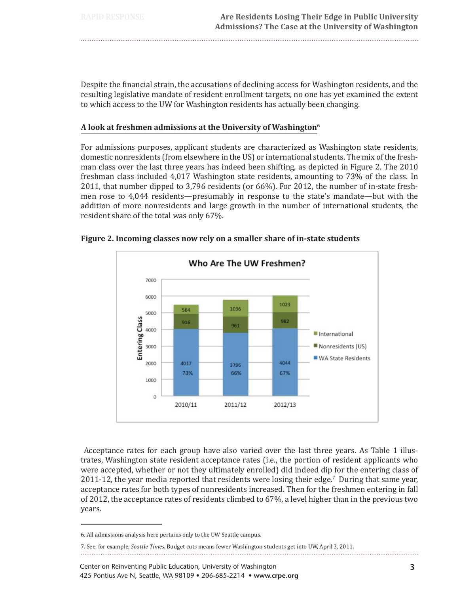Despite the financial strain, the accusations of declining access for Washington residents, and the resulting legislative mandate of resident enrollment targets, no one has yet examined the extent to which access to the UW for Washington residents has actually been changing.

## A look at freshmen admissions at the University of Washington<sup>6</sup>

For admissions purposes, applicant students are characterized as Washington state residents, domestic nonresidents (from elsewhere in the US) or international students. The mix of the freshman class over the last three years has indeed been shifting, as depicted in Figure 2. The 2010 freshman class included 4,017 Washington state residents, amounting to 73% of the class. In 2011, that number dipped to 3,796 residents (or 66%). For 2012, the number of in-state freshmen rose to 4,044 residents—presumably in response to the state's mandate—but with the addition of more nonresidents and large growth in the number of international students, the resident share of the total was only 67%.



## Figure 2. Incoming classes now rely on a smaller share of in-state students

Acceptance rates for each group have also varied over the last three years. As Table 1 illustrates, Washington state resident acceptance rates (i.e., the portion of resident applicants who were accepted, whether or not they ultimately enrolled) did indeed dip for the entering class of 2011-12, the year media reported that residents were losing their edge.<sup>7</sup> During that same year, acceptance rates for both types of nonresidents increased. Then for the freshmen entering in fall of 2012, the acceptance rates of residents climbed to 67%, a level higher than in the previous two vears.

<sup>6.</sup> All admissions analysis here pertains only to the UW Seattle campus.

<sup>7.</sup> See, for example, Seattle Times, Budget cuts means fewer Washington students get into UW, April 3, 2011.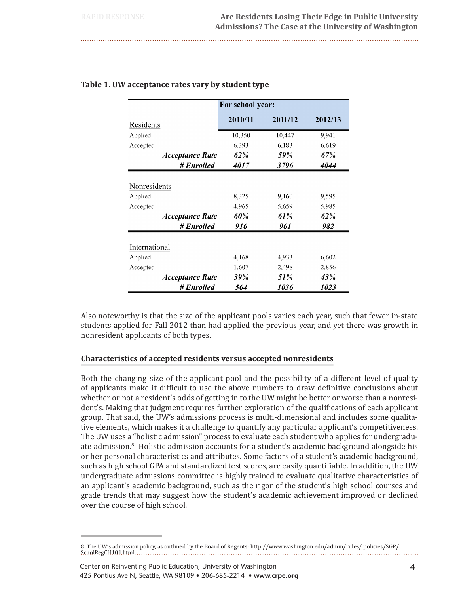|                                                  | For school year:    |                     |                     |
|--------------------------------------------------|---------------------|---------------------|---------------------|
| Residents                                        | 2010/11             | 2011/12             | 2012/13             |
| Applied                                          | 10,350              | 10,447              | 9,941               |
| Accepted                                         | 6,393               | 6,183               | 6,619               |
| <b>Acceptance Rate</b>                           | 62%                 | 59%                 | 67%                 |
| # Enrolled                                       | <i>4017</i>         | 3796                | 4044                |
| Accepted<br><b>Acceptance Rate</b><br># Enrolled | 4,965<br>60%<br>916 | 5,659<br>61%<br>961 | 5,985<br>62%<br>982 |
| International                                    |                     |                     |                     |
| Applied                                          | 4,168               | 4,933               | 6,602               |
| Accepted                                         | 1,607               | 2,498               | 2,856               |
| <i><b>Acceptance Rate</b></i>                    | 39%                 | 51%                 | 43%                 |
| # Enrolled                                       | 564                 | 1036                | 1023                |

## Table 1. UW acceptance rates vary by student type

Also noteworthy is that the size of the applicant pools varies each year, such that fewer in-state students applied for Fall 2012 than had applied the previous year, and yet there was growth in nonresident applicants of both types.

# Characteristics of accepted residents versus accepted nonresidents

Both the changing size of the applicant pool and the possibility of a different level of quality of applicants make it difficult to use the above numbers to draw definitive conclusions about whether or not a resident's odds of getting in to the UW might be better or worse than a nonresident's. Making that judgment requires further exploration of the qualifications of each applicant group. That said, the UW's admissions process is multi-dimensional and includes some qualitative elements, which makes it a challenge to quantify any particular applicant's competitiveness. The UW uses a "holistic admission" process to evaluate each student who applies for undergraduate admission.<sup>8</sup> Holistic admission accounts for a student's academic background alongside his or her personal characteristics and attributes. Some factors of a student's academic background, such as high school GPA and standardized test scores, are easily quantifiable. In addition, the UW undergraduate admissions committee is highly trained to evaluate qualitative characteristics of an applicant's academic background, such as the rigor of the student's high school courses and grade trends that may suggest how the student's academic achievement improved or declined over the course of high school.

<sup>8.</sup> The UW's admission policy, as outlined by the Board of Regents: http://www.washington.edu/admin/rules/policies/SGP/ ScholRegCH101.html....... . . . . . . . . . . . . . . . . . .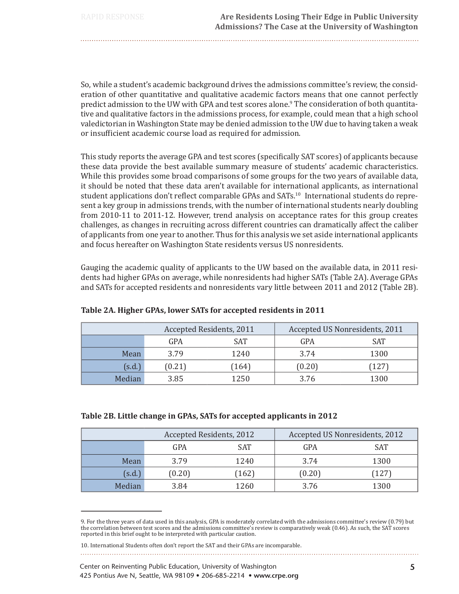So, while a student's academic background drives the admissions committee's review, the consideration of other quantitative and qualitative academic factors means that one cannot perfectly predict admission to the UW with GPA and test scores alone.<sup>9</sup> The consideration of both quantitative and qualitative factors in the admissions process, for example, could mean that a high school valedictorian in Washington State may be denied admission to the UW due to having taken a weak

This study reports the average GPA and test scores (specifically SAT scores) of applicants because these data provide the best available summary measure of students' academic characteristics. While this provides some broad comparisons of some groups for the two years of available data, it should be noted that these data aren't available for international applicants, as international student applications don't reflect comparable GPAs and SATs.<sup>10</sup> International students do represent a key group in admissions trends, with the number of international students nearly doubling from 2010-11 to 2011-12. However, trend analysis on acceptance rates for this group creates challenges, as changes in recruiting across different countries can dramatically affect the caliber of applicants from one year to another. Thus for this analysis we set aside international applicants and focus hereafter on Washington State residents versus US nonresidents.

Gauging the academic quality of applicants to the UW based on the available data, in 2011 residents had higher GPAs on average, while nonresidents had higher SATs (Table 2A). Average GPAs and SATs for accepted residents and nonresidents vary little between 2011 and 2012 (Table 2B).

|        | Accepted Residents, 2011 |            | Accepted US Nonresidents, 2011 |            |
|--------|--------------------------|------------|--------------------------------|------------|
|        | GPA                      | <b>SAT</b> | GPA                            | <b>SAT</b> |
| Mean   | 3.79                     | 1240       | 3.74                           | 1300       |
| (s.d.) | (0.21)                   | 164)       | (0.20)                         | 127)       |
| Median | 3.85                     | 1250       | 3.76                           | 1300       |

# Table 2A. Higher GPAs, lower SATs for accepted residents in 2011

or insufficient academic course load as required for admission.

## Table 2B. Little change in GPAs, SATs for accepted applicants in 2012

| Accepted Residents, 2012 |        | Accepted US Nonresidents, 2012 |        |            |
|--------------------------|--------|--------------------------------|--------|------------|
|                          | GPA    | <b>SAT</b>                     | GPA    | <b>SAT</b> |
| Mean                     | 3.79   | 1240                           | 3.74   | 1300       |
| (s.d.)                   | (0.20) | (162)                          | (0.20) | 127        |
| Median                   | 3.84   | 1260                           | 3.76   | 1300       |

<sup>9.</sup> For the three years of data used in this analysis, GPA is moderately correlated with the admissions committee's review (0.79) but the correlation between test scores and the admissions committee's review is comparatively weak (0.46). As such, the SAT scores reported in this brief ought to be interpreted with particular caution.

<sup>10.</sup> International Students often don't report the SAT and their GPAs are incomparable.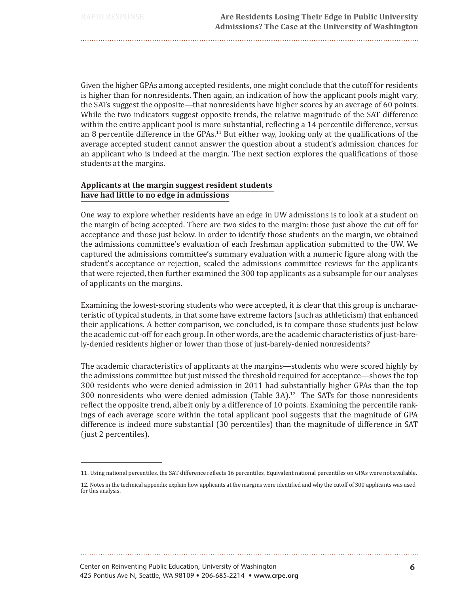Given the higher GPAs among accepted residents, one might conclude that the cutoff for residents is higher than for nonresidents. Then again, an indication of how the applicant pools might vary, the SATs suggest the opposite—that nonresidents have higher scores by an average of 60 points. While the two indicators suggest opposite trends, the relative magnitude of the SAT difference within the entire applicant pool is more substantial, reflecting a 14 percentile difference, versus an 8 percentile difference in the  $GPAs<sup>11</sup>$  But either way, looking only at the qualifications of the average accepted student cannot answer the question about a student's admission chances for an applicant who is indeed at the margin. The next section explores the qualifications of those students at the margins.

# Applicants at the margin suggest resident students have had little to no edge in admissions

One way to explore whether residents have an edge in UW admissions is to look at a student on the margin of being accepted. There are two sides to the margin: those just above the cut off for acceptance and those just below. In order to identify those students on the margin, we obtained the admissions committee's evaluation of each freshman application submitted to the UW. We captured the admissions committee's summary evaluation with a numeric figure along with the student's acceptance or rejection, scaled the admissions committee reviews for the applicants that were rejected, then further examined the 300 top applicants as a subsample for our analyses of applicants on the margins.

Examining the lowest-scoring students who were accepted, it is clear that this group is uncharacteristic of typical students, in that some have extreme factors (such as athleticism) that enhanced their applications. A better comparison, we concluded, is to compare those students just below the academic cut-off for each group. In other words, are the academic characteristics of just-barely-denied residents higher or lower than those of just-barely-denied nonresidents?

The academic characteristics of applicants at the margins—students who were scored highly by the admissions committee but just missed the threshold required for acceptance—shows the top 300 residents who were denied admission in 2011 had substantially higher GPAs than the top 300 nonresidents who were denied admission (Table  $3A$ ).<sup>12</sup> The SATs for those nonresidents reflect the opposite trend, albeit only by a difference of 10 points. Examining the percentile rankings of each average score within the total applicant pool suggests that the magnitude of GPA difference is indeed more substantial (30 percentiles) than the magnitude of difference in SAT (just 2 percentiles).

<sup>11.</sup> Using national percentiles, the SAT difference reflects 16 percentiles. Equivalent national percentiles on GPAs were not available.

<sup>12.</sup> Notes in the technical appendix explain how applicants at the margins were identified and why the cutoff of 300 applicants was used for this analysis.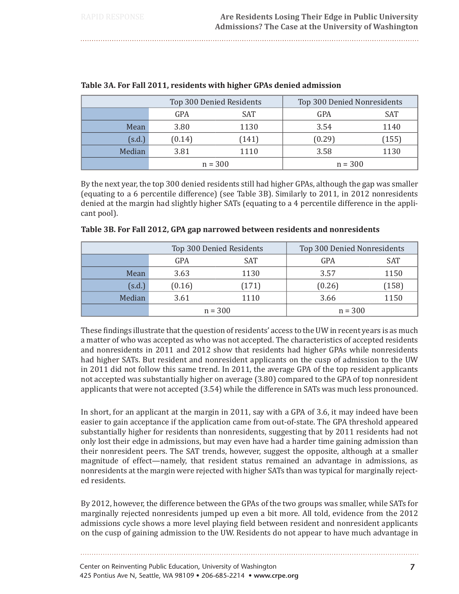| Top 300 Denied Residents |           | Top 300 Denied Nonresidents |           |       |
|--------------------------|-----------|-----------------------------|-----------|-------|
|                          | GPA       | SAT                         | GPA       | SAT   |
| Mean                     | 3.80      | 1130                        | 3.54      | 1140  |
| (s.d.)                   | (0.14)    | (141)                       | (0.29)    | (155) |
| Median                   | 3.81      | 1110                        | 3.58      | 1130  |
|                          | $n = 300$ |                             | $n = 300$ |       |

|  | Table 3A. For Fall 2011, residents with higher GPAs denied admission |
|--|----------------------------------------------------------------------|
|  |                                                                      |

By the next year, the top 300 denied residents still had higher GPAs, although the gap was smaller (equating to a 6 percentile difference) (see Table 3B). Similarly to 2011, in 2012 nonresidents denied at the margin had slightly higher SATs (equating to a 4 percentile difference in the applicant pool).

|        | Top 300 Denied Residents |       | Top 300 Denied Nonresidents |            |
|--------|--------------------------|-------|-----------------------------|------------|
|        | GPA                      | SAT   | GPA                         | <b>SAT</b> |
| Mean   | 3.63                     | 1130  | 3.57                        | 1150       |
| (s.d.) | (0.16)                   | (171) | (0.26)                      | (158)      |
| Median | 3.61                     | 1110  | 3.66                        | 1150       |
|        | $n = 300$                |       | $n = 300$                   |            |

## Table 3B. For Fall 2012, GPA gap narrowed between residents and nonresidents

These findings illustrate that the question of residents' access to the UW in recent years is as much a matter of who was accepted as who was not accepted. The characteristics of accepted residents and nonresidents in 2011 and 2012 show that residents had higher GPAs while nonresidents had higher SATs. But resident and nonresident applicants on the cusp of admission to the UW in 2011 did not follow this same trend. In 2011, the average GPA of the top resident applicants not accepted was substantially higher on average (3.80) compared to the GPA of top nonresident applicants that were not accepted (3.54) while the difference in SATs was much less pronounced.

In short, for an applicant at the margin in 2011, say with a GPA of 3.6, it may indeed have been easier to gain acceptance if the application came from out-of-state. The GPA threshold appeared substantially higher for residents than nonresidents, suggesting that by 2011 residents had not only lost their edge in admissions, but may even have had a harder time gaining admission than their nonresident peers. The SAT trends, however, suggest the opposite, although at a smaller magnitude of effect—namely, that resident status remained an advantage in admissions, as nonresidents at the margin were rejected with higher SATs than was typical for marginally rejected residents.

By 2012, however, the difference between the GPAs of the two groups was smaller, while SATs for marginally rejected nonresidents jumped up even a bit more. All told, evidence from the 2012 admissions cycle shows a more level playing field between resident and nonresident applicants on the cusp of gaining admission to the UW. Residents do not appear to have much advantage in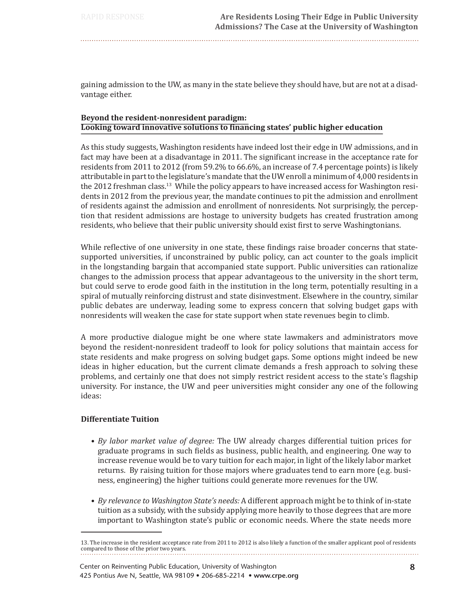gaining admission to the UW, as many in the state believe they should have, but are not at a disadvantage either.

# Beyond the resident-nonresident paradigm: Looking toward innovative solutions to financing states' public higher education

As this study suggests, Washington residents have indeed lost their edge in UW admissions, and in fact may have been at a disadvantage in 2011. The significant increase in the acceptance rate for residents from 2011 to 2012 (from 59.2% to 66.6%, an increase of 7.4 percentage points) is likely attributable in part to the legislature's mandate that the UW enroll a minimum of 4,000 residents in the 2012 freshman class.<sup>13</sup> While the policy appears to have increased access for Washington residents in 2012 from the previous year, the mandate continues to pit the admission and enrollment of residents against the admission and enrollment of nonresidents. Not surprisingly, the perception that resident admissions are hostage to university budgets has created frustration among residents, who believe that their public university should exist first to serve Washingtonians.

While reflective of one university in one state, these findings raise broader concerns that statesupported universities, if unconstrained by public policy, can act counter to the goals implicit in the longstanding bargain that accompanied state support. Public universities can rationalize changes to the admission process that appear advantageous to the university in the short term, but could serve to erode good faith in the institution in the long term, potentially resulting in a spiral of mutually reinforcing distrust and state disinvestment. Elsewhere in the country, similar public debates are underway, leading some to express concern that solving budget gaps with nonresidents will weaken the case for state support when state revenues begin to climb.

A more productive dialogue might be one where state lawmakers and administrators move beyond the resident-nonresident tradeoff to look for policy solutions that maintain access for state residents and make progress on solving budget gaps. Some options might indeed be new ideas in higher education, but the current climate demands a fresh approach to solving these problems, and certainly one that does not simply restrict resident access to the state's flagship university. For instance, the UW and peer universities might consider any one of the following ideas:

# **Differentiate Tuition**

- By labor market value of degree: The UW already charges differential tuition prices for graduate programs in such fields as business, public health, and engineering. One way to increase revenue would be to vary tuition for each major, in light of the likely labor market returns. By raising tuition for those majors where graduates tend to earn more (e.g. business, engineering) the higher tuitions could generate more revenues for the UW.
- By relevance to Washington State's needs: A different approach might be to think of in-state tuition as a subsidy, with the subsidy applying more heavily to those degrees that are more important to Washington state's public or economic needs. Where the state needs more

<sup>13.</sup> The increase in the resident acceptance rate from 2011 to 2012 is also likely a function of the smaller applicant pool of residents compared to those of the prior two years.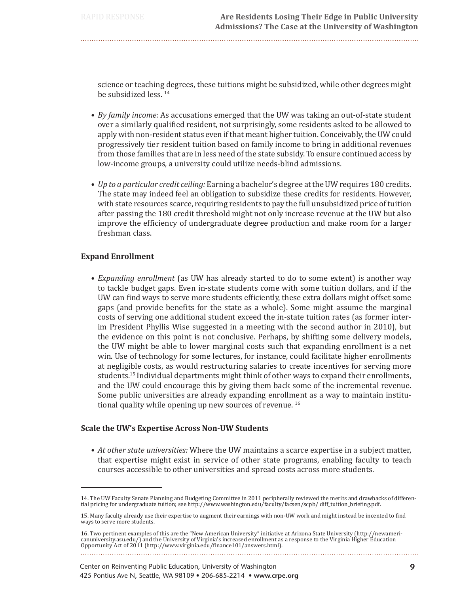science or teaching degrees, these tuitions might be subsidized, while other degrees might be subsidized less.<sup>14</sup>

- By family income: As accusations emerged that the UW was taking an out-of-state student over a similarly qualified resident, not surprisingly, some residents asked to be allowed to apply with non-resident status even if that meant higher tuition. Conceivably, the UW could progressively tier resident tuition based on family income to bring in additional revenues from those families that are in less need of the state subsidy. To ensure continued access by low-income groups, a university could utilize needs-blind admissions.
- Up to a particular credit ceiling: Earning a bachelor's degree at the UW requires 180 credits. The state may indeed feel an obligation to subsidize these credits for residents. However, with state resources scarce, requiring residents to pay the full unsubsidized price of tuition after passing the 180 credit threshold might not only increase revenue at the UW but also improve the efficiency of undergraduate degree production and make room for a larger freshman class.

## **Expand Enrollment**

• Expanding enrollment (as UW has already started to do to some extent) is another way to tackle budget gaps. Even in-state students come with some tuition dollars, and if the UW can find ways to serve more students efficiently, these extra dollars might offset some gaps (and provide benefits for the state as a whole). Some might assume the marginal costs of serving one additional student exceed the in-state tuition rates (as former interim President Phyllis Wise suggested in a meeting with the second author in 2010), but the evidence on this point is not conclusive. Perhaps, by shifting some delivery models, the UW might be able to lower marginal costs such that expanding enrollment is a net win. Use of technology for some lectures, for instance, could facilitate higher enrollments at negligible costs, as would restructuring salaries to create incentives for serving more students.<sup>15</sup> Individual departments might think of other ways to expand their enrollments, and the UW could encourage this by giving them back some of the incremental revenue. Some public universities are already expanding enrollment as a way to maintain institutional quality while opening up new sources of revenue.<sup>16</sup>

## **Scale the UW's Expertise Across Non-UW Students**

• At other state universities: Where the UW maintains a scarce expertise in a subject matter, that expertise might exist in service of other state programs, enabling faculty to teach courses accessible to other universities and spread costs across more students.

<sup>14.</sup> The UW Faculty Senate Planning and Budgeting Committee in 2011 peripherally reviewed the merits and drawbacks of differential pricing for undergraduate tuition; see http://www.washington.edu/faculty/facsen/scpb/diff\_tuition\_briefing.pdf.

<sup>15.</sup> Many faculty already use their expertise to augment their earnings with non-UW work and might instead be incented to find ways to serve more students.

<sup>16.</sup> Two pertinent examples of this are the "New American University" initiative at Arizona State University (http://newamericanuniversity.asu.edu/) and the University of Virginia's increased enrollment as a response to the Virginia Higher Education Opportunity Act of 2011 (http://www.virginia.edu/finance101/answers.html).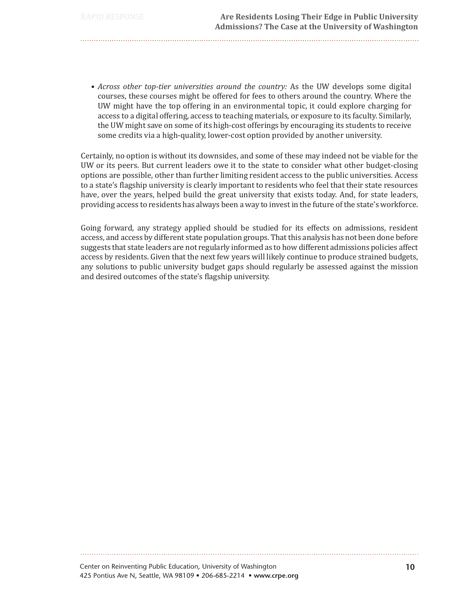• Across other top-tier universities around the country: As the UW develops some digital courses, these courses might be offered for fees to others around the country. Where the UW might have the top offering in an environmental topic, it could explore charging for access to a digital offering, access to teaching materials, or exposure to its faculty. Similarly, the UW might save on some of its high-cost offerings by encouraging its students to receive some credits via a high-quality, lower-cost option provided by another university.

Certainly, no option is without its downsides, and some of these may indeed not be viable for the UW or its peers. But current leaders owe it to the state to consider what other budget-closing options are possible, other than further limiting resident access to the public universities. Access to a state's flagship university is clearly important to residents who feel that their state resources have, over the years, helped build the great university that exists today. And, for state leaders, providing access to residents has always been a way to invest in the future of the state's workforce.

Going forward, any strategy applied should be studied for its effects on admissions, resident access, and access by different state population groups. That this analysis has not been done before suggests that state leaders are not regularly informed as to how different admissions policies affect access by residents. Given that the next few years will likely continue to produce strained budgets. any solutions to public university budget gaps should regularly be assessed against the mission and desired outcomes of the state's flagship university.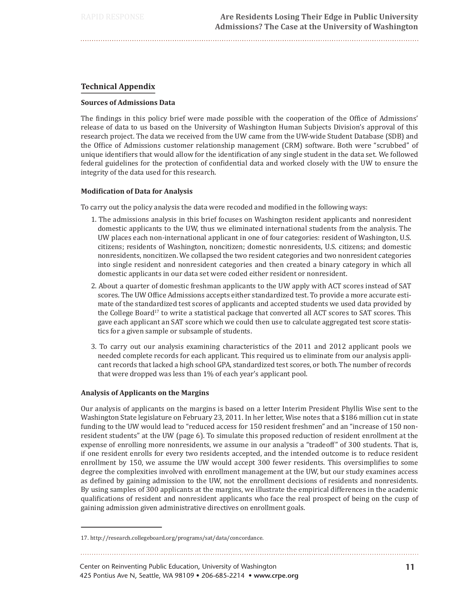## **Technical Appendix**

#### **Sources of Admissions Data**

The findings in this policy brief were made possible with the cooperation of the Office of Admissions' release of data to us based on the University of Washington Human Subjects Division's approval of this research project. The data we received from the UW came from the UW-wide Student Database (SDB) and the Office of Admissions customer relationship management (CRM) software. Both were "scrubbed" of unique identifiers that would allow for the identification of any single student in the data set. We followed federal guidelines for the protection of confidential data and worked closely with the UW to ensure the integrity of the data used for this research.

## **Modification of Data for Analysis**

To carry out the policy analysis the data were recoded and modified in the following ways:

- 1. The admissions analysis in this brief focuses on Washington resident applicants and nonresident domestic applicants to the UW, thus we eliminated international students from the analysis. The UW places each non-international applicant in one of four categories: resident of Washington, U.S. citizens; residents of Washington, noncitizen; domestic nonresidents, U.S. citizens; and domestic nonresidents, noncitizen. We collapsed the two resident categories and two nonresident categories into single resident and nonresident categories and then created a binary category in which all domestic applicants in our data set were coded either resident or nonresident.
- 2. About a quarter of domestic freshman applicants to the UW apply with ACT scores instead of SAT scores. The UW Office Admissions accepts either standardized test. To provide a more accurate estimate of the standardized test scores of applicants and accepted students we used data provided by the College Board<sup>17</sup> to write a statistical package that converted all ACT scores to SAT scores. This gave each applicant an SAT score which we could then use to calculate aggregated test score statistics for a given sample or subsample of students.
- 3. To carry out our analysis examining characteristics of the 2011 and 2012 applicant pools we needed complete records for each applicant. This required us to eliminate from our analysis applicant records that lacked a high school GPA, standardized test scores, or both. The number of records that were dropped was less than 1% of each year's applicant pool.

## **Analysis of Applicants on the Margins**

Our analysis of applicants on the margins is based on a letter Interim President Phyllis Wise sent to the Washington State legislature on February 23, 2011. In her letter, Wise notes that a \$186 million cut in state funding to the UW would lead to "reduced access for 150 resident freshmen" and an "increase of 150 nonresident students" at the UW (page 6). To simulate this proposed reduction of resident enrollment at the expense of enrolling more nonresidents, we assume in our analysis a "tradeoff" of 300 students. That is, if one resident enrolls for every two residents accepted, and the intended outcome is to reduce resident enrollment by 150, we assume the UW would accept 300 fewer residents. This oversimplifies to some degree the complexities involved with enrollment management at the UW, but our study examines access as defined by gaining admission to the UW, not the enrollment decisions of residents and nonresidents. By using samples of 300 applicants at the margins, we illustrate the empirical differences in the academic qualifications of resident and nonresident applicants who face the real prospect of being on the cusp of gaining admission given administrative directives on enrollment goals.

<sup>17.</sup> http://research.collegeboard.org/programs/sat/data/concordance.